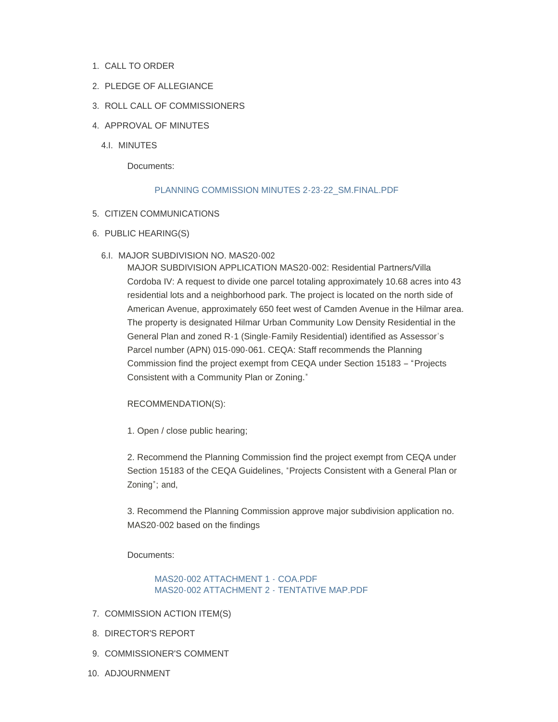- 1. CALL TO ORDER
- 2. PLEDGE OF ALLEGIANCE
- 3. ROLL CALL OF COMMISSIONERS
- 4. APPROVAL OF MINUTES
	- 4.I. MINUTES

Documents:

## [PLANNING COMMISSION MINUTES 2-23-22\\_SM.FINAL.PDF](https://www.countyofmerced.com/AgendaCenter/ViewFile/Item/1782?fileID=20608)

- 5. CITIZEN COMMUNICATIONS
- 6. PUBLIC HEARING(S)
	- MAJOR SUBDIVISION NO. MAS20-002 6.I.

MAJOR SUBDIVISION APPLICATION MAS20-002: Residential Partners/Villa Cordoba IV: A request to divide one parcel totaling approximately 10.68 acres into 43 residential lots and a neighborhood park. The project is located on the north side of American Avenue, approximately 650 feet west of Camden Avenue in the Hilmar area. The property is designated Hilmar Urban Community Low Density Residential in the General Plan and zoned R-1 (Single-Family Residential) identified as Assessor's Parcel number (APN) 015-090-061. CEQA: Staff recommends the Planning Commission find the project exempt from CEQA under Section 15183 – "Projects Consistent with a Community Plan or Zoning."

## RECOMMENDATION(S):

1. Open / close public hearing;

2. Recommend the Planning Commission find the project exempt from CEQA under Section 15183 of the CEQA Guidelines, "Projects Consistent with a General Plan or Zoning"; and,

3. Recommend the Planning Commission approve major subdivision application no. MAS20-002 based on the findings

Documents:

## [MAS20-002 ATTACHMENT 1 - COA.PDF](https://www.countyofmerced.com/AgendaCenter/ViewFile/Item/1781?fileID=20610) [MAS20-002 ATTACHMENT 2 - TENTATIVE MAP.PDF](https://www.countyofmerced.com/AgendaCenter/ViewFile/Item/1781?fileID=20611)

- 7. COMMISSION ACTION ITEM(S)
- 8. DIRECTOR'S REPORT
- 9. COMMISSIONER'S COMMENT
- 10. ADJOURNMENT